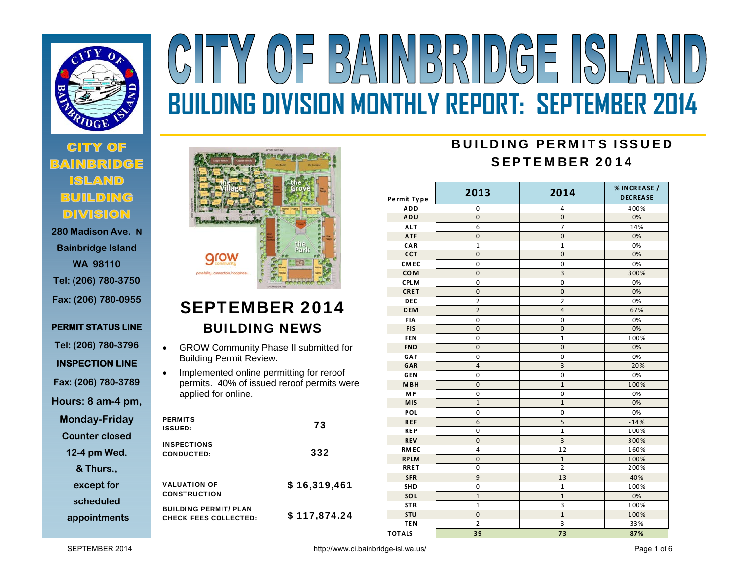

# **280 Madison Ave. N**

**Bainbridge Island WA 98110 Tel: (206) 780-3750 Fax: (206) 780-0955** 

**PERMIT STATUS LINE** 

**Tel: (206) 780-3796** 

**INSPECTION LINE** 

**Fax: (206) 780-3789** 

**Hours: 8 am-4 pm,** 

**Monday-Friday** 

**Counter closed** 

**12-4 pm Wed.** 

**& Thurs.,** 

**except for** 

**scheduled** 

**appointments**



 $(0)$ 

# SEPTEMBER 2014 BUILDING NEWS

- $\bullet$  GROW Community Phase II submitted for Building Permit Review.
- $\bullet$  Implemented online permitting for reroof permits. 40% of issued reroof permits were applied for online.

| <b>PERMITS</b><br><b>ISSUED:</b>                             | 73           |
|--------------------------------------------------------------|--------------|
| <b>INSPECTIONS</b><br>CONDUCTED:                             | 332          |
| <b>VALUATION OF</b><br><b>CONSTRUCTION</b>                   | \$16,319,461 |
| <b>BUILDING PERMIT/ PLAN</b><br><b>CHECK FEES COLLECTED:</b> | \$117,874.24 |

# BUILDING PERMITS ISSUEDSEPTEMBER 2014

**BUILDING DIVISION MONTHLY REPORT: SEPTEMBER 2014** 

BAINBRIDGE ISLA

| Permit Type   | 2013                    | 2014                    | % IN CREASE /<br><b>DECREASE</b> |
|---------------|-------------------------|-------------------------|----------------------------------|
| <b>ADD</b>    | 0                       | 4                       | 400%                             |
| ADU           | $\overline{0}$          | $\mathbf{0}$            | 0%                               |
| <b>ALT</b>    | 6                       | $\overline{7}$          | 14%                              |
| <b>ATF</b>    | $\mathbf 0$             | $\pmb{0}$               | 0%                               |
| CAR           | $\mathbf{1}$            | $\mathbf 1$             | 0%                               |
| <b>CCT</b>    | $\overline{0}$          | $\pmb{0}$               | 0%                               |
| <b>CMEC</b>   | 0                       | 0                       | 0%                               |
| <b>COM</b>    | $\mathbf{0}$            | 3                       | 300%                             |
| <b>CPLM</b>   | $\mathbf 0$             | $\mathbf 0$             | 0%                               |
| <b>CRET</b>   | $\mathbf{0}$            | $\pmb{0}$               | 0%                               |
| <b>DEC</b>    | 2                       | 2                       | 0%                               |
| <b>DEM</b>    | $\overline{2}$          | $\overline{4}$          | 67%                              |
| <b>FIA</b>    | 0                       | 0                       | 0%                               |
| <b>FIS</b>    | $\overline{0}$          | $\mathbf{0}$            | 0%                               |
| <b>FEN</b>    | $\pmb{0}$               | $\mathbf 1$             | 100%                             |
| <b>FND</b>    | $\overline{0}$          | $\mathbf 0$             | 0%                               |
| GAF           | $\mathbf 0$             | 0                       | 0%                               |
| GAR           | $\overline{a}$          | $\overline{3}$          | $-20%$                           |
| <b>GEN</b>    | $\mathbf 0$             | $\mathbf 0$             | 0%                               |
| <b>MBH</b>    | $\overline{0}$          | $\overline{1}$          | 100%                             |
| <b>MF</b>     | $\mathbf 0$             | $\mathbf 0$             | 0%                               |
| <b>MIS</b>    | $\mathbf{1}$            | $\mathbf{1}$            | 0%                               |
| POL           | $\mathbf 0$             | $\pmb{0}$               | 0%                               |
| <b>REF</b>    | $6\phantom{1}$          | 5                       | $-14%$                           |
| <b>REP</b>    | $\mathbf 0$             | $\mathbf{1}$            | 100%                             |
| <b>REV</b>    | $\mathbf 0$             | $\overline{\mathbf{3}}$ | 300%                             |
| <b>RMEC</b>   | $\overline{\mathbf{4}}$ | 12                      | 160%                             |
| <b>RPLM</b>   | $\overline{0}$          | $\mathbf{1}$            | 100%                             |
| <b>RRET</b>   | 0                       | $\overline{2}$          | 200%                             |
| <b>SFR</b>    | 9                       | 13                      | 40%                              |
| SHD           | 0                       | $\mathbf{1}$            | 100%                             |
| SOL           | $\mathbf{1}$            | $\mathbf{1}$            | 0%                               |
| <b>STR</b>    | $\mathbf 1$             | 3                       | 100%                             |
| <b>STU</b>    | $\mathbf 0$             | $\mathbf{1}$            | 100%                             |
| <b>TEN</b>    | $\overline{2}$          | 3                       | 33%                              |
| <b>TOTALS</b> | 39                      | $\overline{73}$         | 87%                              |

SEPTEMBER 2014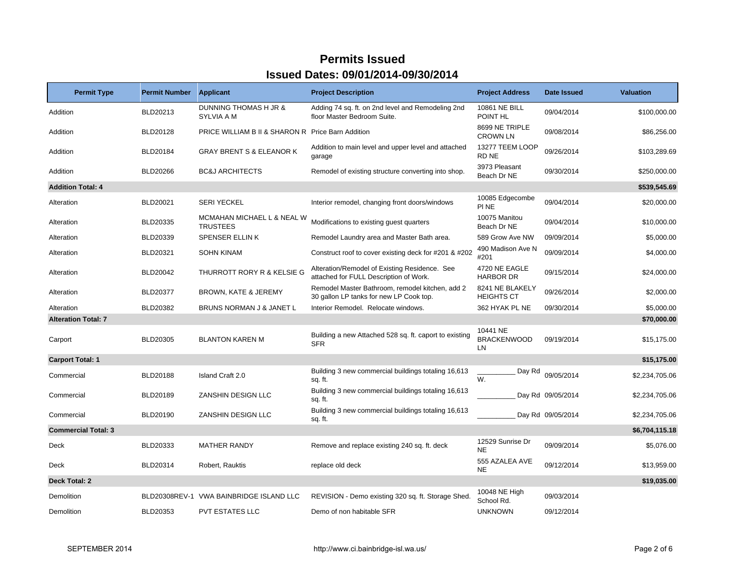| <b>Permit Type</b>         | <b>Permit Number</b> | <b>Applicant</b>                                             | <b>Project Description</b>                                                                 | <b>Project Address</b>                | <b>Date Issued</b> | <b>Valuation</b> |
|----------------------------|----------------------|--------------------------------------------------------------|--------------------------------------------------------------------------------------------|---------------------------------------|--------------------|------------------|
| Addition                   | BLD20213             | DUNNING THOMAS H JR &<br>SYLVIA A M                          | Adding 74 sq. ft. on 2nd level and Remodeling 2nd<br>floor Master Bedroom Suite.           | 10861 NE BILL<br>POINT HL             | 09/04/2014         | \$100,000.00     |
| Addition                   | <b>BLD20128</b>      | <b>PRICE WILLIAM B II &amp; SHARON R Price Barn Addition</b> |                                                                                            | 8699 NE TRIPLE<br><b>CROWN LN</b>     | 09/08/2014         | \$86,256.00      |
| Addition                   | BLD20184             | <b>GRAY BRENT S &amp; ELEANOR K</b>                          | Addition to main level and upper level and attached<br>garage                              | 13277 TEEM LOOP<br>RD NE              | 09/26/2014         | \$103,289.69     |
| Addition                   | <b>BLD20266</b>      | <b>BC&amp;J ARCHITECTS</b>                                   | Remodel of existing structure converting into shop.                                        | 3973 Pleasant<br>Beach Dr NE          | 09/30/2014         | \$250,000.00     |
| <b>Addition Total: 4</b>   |                      |                                                              |                                                                                            |                                       |                    | \$539,545.69     |
| Alteration                 | BLD20021             | <b>SERI YECKEL</b>                                           | Interior remodel, changing front doors/windows                                             | 10085 Edgecombe<br>PI NE              | 09/04/2014         | \$20,000.00      |
| Alteration                 | BLD20335             | MCMAHAN MICHAEL L & NEAL W<br><b>TRUSTEES</b>                | Modifications to existing guest quarters                                                   | 10075 Manitou<br>Beach Dr NE          | 09/04/2014         | \$10,000.00      |
| Alteration                 | BLD20339             | <b>SPENSER ELLINK</b>                                        | Remodel Laundry area and Master Bath area.                                                 | 589 Grow Ave NW                       | 09/09/2014         | \$5,000.00       |
| Alteration                 | BLD20321             | <b>SOHN KINAM</b>                                            | Construct roof to cover existing deck for #201 & #202                                      | 490 Madison Ave N<br>#201             | 09/09/2014         | \$4,000.00       |
| Alteration                 | BLD20042             | THURROTT RORY R & KELSIE G                                   | Alteration/Remodel of Existing Residence. See<br>attached for FULL Description of Work.    | 4720 NE EAGLE<br><b>HARBOR DR</b>     | 09/15/2014         | \$24,000.00      |
| Alteration                 | <b>BLD20377</b>      | <b>BROWN, KATE &amp; JEREMY</b>                              | Remodel Master Bathroom, remodel kitchen, add 2<br>30 gallon LP tanks for new LP Cook top. | 8241 NE BLAKELY<br><b>HEIGHTS CT</b>  | 09/26/2014         | \$2,000.00       |
| Alteration                 | BLD20382             | BRUNS NORMAN J & JANET L                                     | Interior Remodel. Relocate windows.                                                        | 362 HYAK PL NE                        | 09/30/2014         | \$5,000.00       |
| <b>Alteration Total: 7</b> |                      |                                                              |                                                                                            |                                       |                    | \$70,000.00      |
| Carport                    | BLD20305             | <b>BLANTON KAREN M</b>                                       | Building a new Attached 528 sq. ft. caport to existing<br><b>SFR</b>                       | 10441 NE<br><b>BRACKENWOOD</b><br>LN. | 09/19/2014         | \$15,175.00      |
| <b>Carport Total: 1</b>    |                      |                                                              |                                                                                            |                                       |                    | \$15,175.00      |
| Commercial                 | BLD20188             | Island Craft 2.0                                             | Building 3 new commercial buildings totaling 16,613<br>sq. ft.                             | Day Rd<br>W.                          | 09/05/2014         | \$2,234,705.06   |
| Commercial                 | BLD20189             | ZANSHIN DESIGN LLC                                           | Building 3 new commercial buildings totaling 16,613<br>sq. ft.                             |                                       | Day Rd 09/05/2014  | \$2,234,705.06   |
| Commercial                 | BLD20190             | ZANSHIN DESIGN LLC                                           | Building 3 new commercial buildings totaling 16,613<br>sq. ft.                             |                                       | Day Rd 09/05/2014  | \$2,234,705.06   |
| <b>Commercial Total: 3</b> |                      |                                                              |                                                                                            |                                       |                    | \$6,704,115.18   |
| <b>Deck</b>                | BLD20333             | <b>MATHER RANDY</b>                                          | Remove and replace existing 240 sq. ft. deck                                               | 12529 Sunrise Dr<br><b>NE</b>         | 09/09/2014         | \$5,076.00       |
| Deck                       | BLD20314             | Robert, Rauktis                                              | replace old deck                                                                           | 555 AZALEA AVE<br><b>NE</b>           | 09/12/2014         | \$13,959.00      |
| Deck Total: 2              |                      |                                                              |                                                                                            |                                       |                    | \$19,035.00      |
| Demolition                 |                      | BLD20308REV-1 VWA BAINBRIDGE ISLAND LLC                      | REVISION - Demo existing 320 sq. ft. Storage Shed.                                         | 10048 NE High<br>School Rd.           | 09/03/2014         |                  |
| Demolition                 | BLD20353             | <b>PVT ESTATES LLC</b>                                       | Demo of non habitable SFR                                                                  | <b>UNKNOWN</b>                        | 09/12/2014         |                  |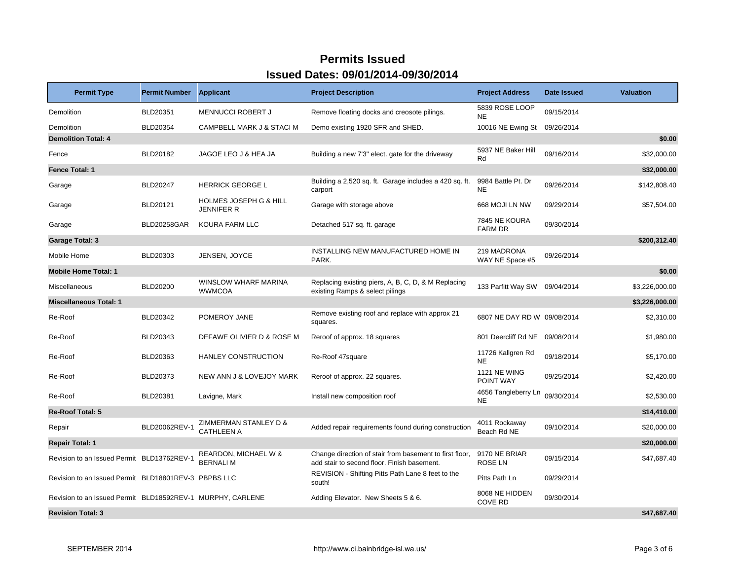| <b>Permit Type</b>                                         | <b>Permit Number</b> | <b>Applicant</b>                                | <b>Project Description</b>                                                                             | <b>Project Address</b>           | <b>Date Issued</b> | <b>Valuation</b> |
|------------------------------------------------------------|----------------------|-------------------------------------------------|--------------------------------------------------------------------------------------------------------|----------------------------------|--------------------|------------------|
| Demolition                                                 | BLD20351             | <b>MENNUCCI ROBERT J</b>                        | Remove floating docks and creosote pilings.                                                            | 5839 ROSE LOOP<br><b>NE</b>      | 09/15/2014         |                  |
| Demolition                                                 | BLD20354             | CAMPBELL MARK J & STACI M                       | Demo existing 1920 SFR and SHED.                                                                       | 10016 NE Ewing St                | 09/26/2014         |                  |
| <b>Demolition Total: 4</b>                                 |                      |                                                 |                                                                                                        |                                  |                    | \$0.00           |
| Fence                                                      | BLD20182             | JAGOE LEO J & HEA JA                            | Building a new 7'3" elect. gate for the driveway                                                       | 5937 NE Baker Hill<br>Rd         | 09/16/2014         | \$32,000.00      |
| Fence Total: 1                                             |                      |                                                 |                                                                                                        |                                  |                    | \$32,000.00      |
| Garage                                                     | <b>BLD20247</b>      | <b>HERRICK GEORGE L</b>                         | Building a 2,520 sq. ft. Garage includes a 420 sq. ft.<br>carport                                      | 9984 Battle Pt. Dr<br><b>NE</b>  | 09/26/2014         | \$142,808.40     |
| Garage                                                     | BLD20121             | <b>HOLMES JOSEPH G &amp; HILL</b><br>JENNIFER R | Garage with storage above                                                                              | 668 MOJI LN NW                   | 09/29/2014         | \$57,504.00      |
| Garage                                                     | <b>BLD20258GAR</b>   | KOURA FARM LLC                                  | Detached 517 sq. ft. garage                                                                            | 7845 NE KOURA<br><b>FARM DR</b>  | 09/30/2014         |                  |
| <b>Garage Total: 3</b>                                     |                      |                                                 |                                                                                                        |                                  |                    | \$200,312.40     |
| Mobile Home                                                | BLD20303             | JENSEN, JOYCE                                   | INSTALLING NEW MANUFACTURED HOME IN<br>PARK.                                                           | 219 MADRONA<br>WAY NE Space #5   | 09/26/2014         |                  |
| <b>Mobile Home Total: 1</b>                                |                      |                                                 |                                                                                                        |                                  |                    | \$0.00           |
| Miscellaneous                                              | <b>BLD20200</b>      | WINSLOW WHARF MARINA<br><b>WWMCOA</b>           | Replacing existing piers, A, B, C, D, & M Replacing<br>existing Ramps & select pilings                 | 133 Parfitt Way SW 09/04/2014    |                    | \$3,226,000.00   |
| <b>Miscellaneous Total: 1</b>                              |                      |                                                 |                                                                                                        |                                  |                    | \$3,226,000.00   |
| Re-Roof                                                    | BLD20342             | POMEROY JANE                                    | Remove existing roof and replace with approx 21<br>squares.                                            | 6807 NE DAY RD W 09/08/2014      |                    | \$2,310.00       |
| Re-Roof                                                    | BLD20343             | DEFAWE OLIVIER D & ROSE M                       | Reroof of approx. 18 squares                                                                           | 801 Deercliff Rd NE              | 09/08/2014         | \$1,980.00       |
| Re-Roof                                                    | BLD20363             | HANLEY CONSTRUCTION                             | Re-Roof 47square                                                                                       | 11726 Kallgren Rd<br><b>NE</b>   | 09/18/2014         | \$5,170.00       |
| Re-Roof                                                    | BLD20373             | NEW ANN J & LOVEJOY MARK                        | Reroof of approx. 22 squares.                                                                          | <b>1121 NE WING</b><br>POINT WAY | 09/25/2014         | \$2,420.00       |
| Re-Roof                                                    | BLD20381             | Lavigne, Mark                                   | Install new composition roof                                                                           | 4656 Tangleberry Ln<br><b>NE</b> | 09/30/2014         | \$2,530.00       |
| <b>Re-Roof Total: 5</b>                                    |                      |                                                 |                                                                                                        |                                  |                    | \$14,410.00      |
| Repair                                                     | BLD20062REV-1        | ZIMMERMAN STANLEY D &<br><b>CATHLEEN A</b>      | Added repair requirements found during construction                                                    | 4011 Rockaway<br>Beach Rd NE     | 09/10/2014         | \$20,000.00      |
| <b>Repair Total: 1</b>                                     |                      |                                                 |                                                                                                        |                                  |                    | \$20,000.00      |
| Revision to an Issued Permit BLD13762REV-1                 |                      | REARDON, MICHAEL W &<br><b>BERNALIM</b>         | Change direction of stair from basement to first floor,<br>add stair to second floor. Finish basement. | 9170 NE BRIAR<br><b>ROSE LN</b>  | 09/15/2014         | \$47,687.40      |
| Revision to an Issued Permit BLD18801REV-3 PBPBS LLC       |                      |                                                 | REVISION - Shifting Pitts Path Lane 8 feet to the<br>south!                                            | Pitts Path Ln                    | 09/29/2014         |                  |
| Revision to an Issued Permit BLD18592REV-1 MURPHY, CARLENE |                      |                                                 | Adding Elevator. New Sheets 5 & 6.                                                                     | 8068 NE HIDDEN<br><b>COVE RD</b> | 09/30/2014         |                  |
| <b>Revision Total: 3</b>                                   |                      |                                                 |                                                                                                        |                                  |                    | \$47,687.40      |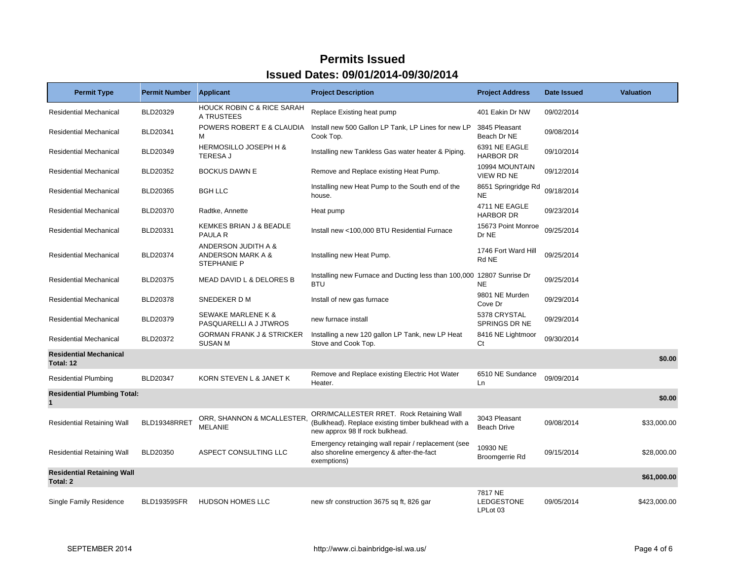| <b>Permit Type</b>                                 | <b>Permit Number</b> | <b>Applicant</b>                                        | <b>Project Description</b>                                                                                                         | <b>Project Address</b>                   | Date Issued | <b>Valuation</b> |
|----------------------------------------------------|----------------------|---------------------------------------------------------|------------------------------------------------------------------------------------------------------------------------------------|------------------------------------------|-------------|------------------|
| <b>Residential Mechanical</b>                      | BLD20329             | <b>HOUCK ROBIN C &amp; RICE SARAH</b><br>A TRUSTEES     | Replace Existing heat pump                                                                                                         | 401 Eakin Dr NW                          | 09/02/2014  |                  |
| <b>Residential Mechanical</b>                      | BLD20341             | POWERS ROBERT E & CLAUDIA<br>м                          | Install new 500 Gallon LP Tank, LP Lines for new LP<br>Cook Top.                                                                   | 3845 Pleasant<br>Beach Dr NE             | 09/08/2014  |                  |
| <b>Residential Mechanical</b>                      | BLD20349             | HERMOSILLO JOSEPH H &<br><b>TERESA J</b>                | Installing new Tankless Gas water heater & Piping.                                                                                 | 6391 NE EAGLE<br><b>HARBOR DR</b>        | 09/10/2014  |                  |
| <b>Residential Mechanical</b>                      | BLD20352             | <b>BOCKUS DAWN E</b>                                    | Remove and Replace existing Heat Pump.                                                                                             | 10994 MOUNTAIN<br>VIEW RD NE             | 09/12/2014  |                  |
| <b>Residential Mechanical</b>                      | BLD20365             | <b>BGH LLC</b>                                          | Installing new Heat Pump to the South end of the<br>house.                                                                         | 8651 Springridge Rd<br><b>NE</b>         | 09/18/2014  |                  |
| <b>Residential Mechanical</b>                      | <b>BLD20370</b>      | Radtke, Annette                                         | Heat pump                                                                                                                          | 4711 NE EAGLE<br><b>HARBOR DR</b>        | 09/23/2014  |                  |
| <b>Residential Mechanical</b>                      | BLD20331             | KEMKES BRIAN J & BEADLE<br>PAULA R                      | Install new <100,000 BTU Residential Furnace                                                                                       | 15673 Point Monroe<br>Dr NE              | 09/25/2014  |                  |
| <b>Residential Mechanical</b>                      | BLD20374             | ANDERSON JUDITH A &<br>ANDERSON MARK A &<br>STEPHANIE P | Installing new Heat Pump.                                                                                                          | 1746 Fort Ward Hill<br>Rd NE             | 09/25/2014  |                  |
| <b>Residential Mechanical</b>                      | BLD20375             | MEAD DAVID L & DELORES B                                | Installing new Furnace and Ducting less than 100,000 12807 Sunrise Dr<br><b>BTU</b>                                                | <b>NE</b>                                | 09/25/2014  |                  |
| <b>Residential Mechanical</b>                      | <b>BLD20378</b>      | SNEDEKER D M                                            | Install of new gas furnace                                                                                                         | 9801 NE Murden<br>Cove Dr                | 09/29/2014  |                  |
| <b>Residential Mechanical</b>                      | <b>BLD20379</b>      | <b>SEWAKE MARLENE K &amp;</b><br>PASQUARELLI A J JTWROS | new furnace install                                                                                                                | 5378 CRYSTAL<br>SPRINGS DR NE            | 09/29/2014  |                  |
| <b>Residential Mechanical</b>                      | BLD20372             | <b>GORMAN FRANK J &amp; STRICKER</b><br><b>SUSAN M</b>  | Installing a new 120 gallon LP Tank, new LP Heat<br>Stove and Cook Top.                                                            | 8416 NE Lightmoor<br>Ct                  | 09/30/2014  |                  |
| <b>Residential Mechanical</b><br>Total: 12         |                      |                                                         |                                                                                                                                    |                                          |             | \$0.00           |
| <b>Residential Plumbing</b>                        | <b>BLD20347</b>      | KORN STEVEN L & JANET K                                 | Remove and Replace existing Electric Hot Water<br>Heater.                                                                          | 6510 NE Sundance<br>Ln.                  | 09/09/2014  |                  |
| <b>Residential Plumbing Total:</b><br>$\mathbf{1}$ |                      |                                                         |                                                                                                                                    |                                          |             | \$0.00           |
| <b>Residential Retaining Wall</b>                  | BLD19348RRET         | ORR, SHANNON & MCALLESTER.<br><b>MELANIE</b>            | ORR/MCALLESTER RRET. Rock Retaining Wall<br>(Bulkhead). Replace existing timber bulkhead with a<br>new approx 98 If rock bulkhead. | 3043 Pleasant<br><b>Beach Drive</b>      | 09/08/2014  | \$33,000.00      |
| <b>Residential Retaining Wall</b>                  | <b>BLD20350</b>      | ASPECT CONSULTING LLC                                   | Emergency retainging wall repair / replacement (see<br>also shoreline emergency & after-the-fact<br>exemptions)                    | 10930 NE<br>Broomgerrie Rd               | 09/15/2014  | \$28,000.00      |
| <b>Residential Retaining Wall</b><br>Total: 2      |                      |                                                         |                                                                                                                                    |                                          |             | \$61,000.00      |
| <b>Single Family Residence</b>                     | <b>BLD19359SFR</b>   | <b>HUDSON HOMES LLC</b>                                 | new sfr construction 3675 sq ft, 826 gar                                                                                           | 7817 NE<br><b>LEDGESTONE</b><br>LPLot 03 | 09/05/2014  | \$423,000.00     |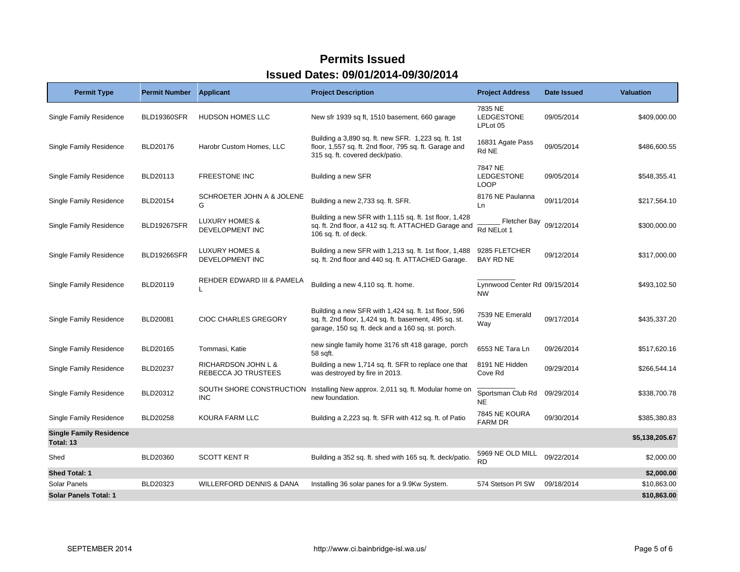| <b>Permit Type</b>                          | <b>Permit Number</b> | <b>Applicant</b>                                    | <b>Project Description</b>                                                                                                                                          | <b>Project Address</b>                     | Date Issued | <b>Valuation</b> |
|---------------------------------------------|----------------------|-----------------------------------------------------|---------------------------------------------------------------------------------------------------------------------------------------------------------------------|--------------------------------------------|-------------|------------------|
| Single Family Residence                     | <b>BLD19360SFR</b>   | <b>HUDSON HOMES LLC</b>                             | New sfr 1939 sq ft, 1510 basement, 660 garage                                                                                                                       | 7835 NE<br>LEDGESTONE<br>LPLot 05          | 09/05/2014  | \$409,000.00     |
| Single Family Residence                     | BLD20176             | Harobr Custom Homes, LLC                            | Building a 3,890 sq. ft. new SFR. 1,223 sq. ft. 1st<br>floor, 1,557 sq. ft. 2nd floor, 795 sq. ft. Garage and<br>315 sq. ft. covered deck/patio.                    | 16831 Agate Pass<br>Rd NE                  | 09/05/2014  | \$486,600.55     |
| Single Family Residence                     | BLD20113             | <b>FREESTONE INC</b>                                | Building a new SFR                                                                                                                                                  | 7847 NE<br>LEDGESTONE<br><b>LOOP</b>       | 09/05/2014  | \$548,355.41     |
| Single Family Residence                     | BLD20154             | SCHROETER JOHN A & JOLENE<br>G                      | Building a new 2,733 sq. ft. SFR.                                                                                                                                   | 8176 NE Paulanna<br>Ln                     | 09/11/2014  | \$217,564.10     |
| Single Family Residence                     | <b>BLD19267SFR</b>   | <b>LUXURY HOMES &amp;</b><br><b>DEVELOPMENT INC</b> | Building a new SFR with 1,115 sq. ft. 1st floor, 1,428<br>sq. ft. 2nd floor, a 412 sq. ft. ATTACHED Garage and<br>106 sq. ft. of deck.                              | Fletcher Bay<br>Rd NELot 1                 | 09/12/2014  | \$300,000.00     |
| Single Family Residence                     | <b>BLD19266SFR</b>   | <b>LUXURY HOMES &amp;</b><br>DEVELOPMENT INC        | Building a new SFR with 1,213 sq. ft. 1st floor, 1,488<br>sq. ft. 2nd floor and 440 sq. ft. ATTACHED Garage.                                                        | 9285 FLETCHER<br>BAY RD NE                 | 09/12/2014  | \$317,000.00     |
| Single Family Residence                     | BLD20119             | REHDER EDWARD III & PAMELA                          | Building a new 4,110 sq. ft. home.                                                                                                                                  | Lynnwood Center Rd 09/15/2014<br><b>NW</b> |             | \$493,102.50     |
| Single Family Residence                     | <b>BLD20081</b>      | <b>CIOC CHARLES GREGORY</b>                         | Building a new SFR with 1,424 sq. ft. 1st floor, 596<br>sq. ft. 2nd floor, 1,424 sq. ft. basement, 495 sq. st.<br>garage, 150 sq. ft. deck and a 160 sq. st. porch. | 7539 NE Emerald<br>Way                     | 09/17/2014  | \$435,337.20     |
| Single Family Residence                     | BLD20165             | Tommasi, Katie                                      | new single family home 3176 sft 418 garage, porch<br>58 sqft.                                                                                                       | 6553 NE Tara Ln                            | 09/26/2014  | \$517,620.16     |
| Single Family Residence                     | BLD20237             | RICHARDSON JOHN L &<br>REBECCA JO TRUSTEES          | Building a new 1,714 sq. ft. SFR to replace one that<br>was destroyed by fire in 2013.                                                                              | 8191 NE Hidden<br>Cove Rd                  | 09/29/2014  | \$266,544.14     |
| Single Family Residence                     | BLD20312             | <b>INC</b>                                          | SOUTH SHORE CONSTRUCTION Installing New approx. 2,011 sq. ft. Modular home on<br>new foundation.                                                                    | Sportsman Club Rd<br><b>NE</b>             | 09/29/2014  | \$338,700.78     |
| <b>Single Family Residence</b>              | <b>BLD20258</b>      | KOURA FARM LLC                                      | Building a 2,223 sq. ft. SFR with 412 sq. ft. of Patio                                                                                                              | 7845 NE KOURA<br><b>FARM DR</b>            | 09/30/2014  | \$385,380.83     |
| <b>Single Family Residence</b><br>Total: 13 |                      |                                                     |                                                                                                                                                                     |                                            |             | \$5,138,205.67   |
| Shed                                        | <b>BLD20360</b>      | <b>SCOTT KENT R</b>                                 | Building a 352 sq. ft. shed with 165 sq. ft. deck/patio.                                                                                                            | 5969 NE OLD MILL<br><b>RD</b>              | 09/22/2014  | \$2,000.00       |
| Shed Total: 1                               |                      |                                                     |                                                                                                                                                                     |                                            |             | \$2,000.00       |
| Solar Panels                                | BLD20323             | <b>WILLERFORD DENNIS &amp; DANA</b>                 | Installing 36 solar panes for a 9.9Kw System.                                                                                                                       | 574 Stetson PI SW                          | 09/18/2014  | \$10,863.00      |
| <b>Solar Panels Total: 1</b>                |                      |                                                     |                                                                                                                                                                     |                                            |             | \$10,863.00      |